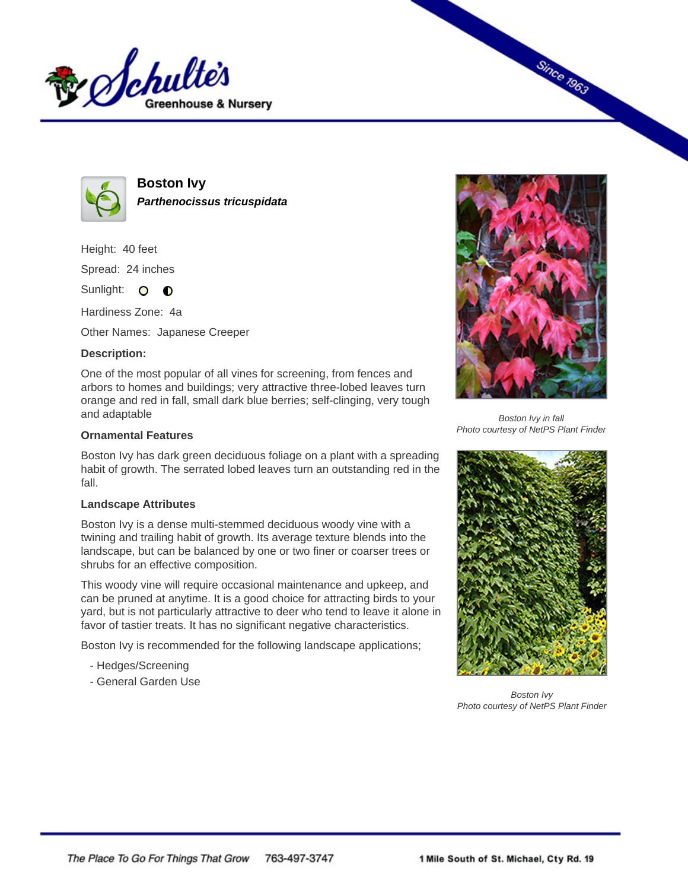



**Boston Ivy Parthenocissus tricuspidata**

Height: 40 feet

Spread: 24 inches

Sunlight: O **O** 

Hardiness Zone: 4a

Other Names: Japanese Creeper

## **Description:**

One of the most popular of all vines for screening, from fences and arbors to homes and buildings; very attractive three-lobed leaves turn orange and red in fall, small dark blue berries; self-clinging, very tough and adaptable

## **Ornamental Features**

Boston Ivy has dark green deciduous foliage on a plant with a spreading habit of growth. The serrated lobed leaves turn an outstanding red in the fall.

## **Landscape Attributes**

Boston Ivy is a dense multi-stemmed deciduous woody vine with a twining and trailing habit of growth. Its average texture blends into the landscape, but can be balanced by one or two finer or coarser trees or shrubs for an effective composition.

This woody vine will require occasional maintenance and upkeep, and can be pruned at anytime. It is a good choice for attracting birds to your yard, but is not particularly attractive to deer who tend to leave it alone in favor of tastier treats. It has no significant negative characteristics.

Boston Ivy is recommended for the following landscape applications;

- Hedges/Screening
- General Garden Use



**Since 1963** 

Boston Ivy in fall Photo courtesy of NetPS Plant Finder



Boston Ivy Photo courtesy of NetPS Plant Finder